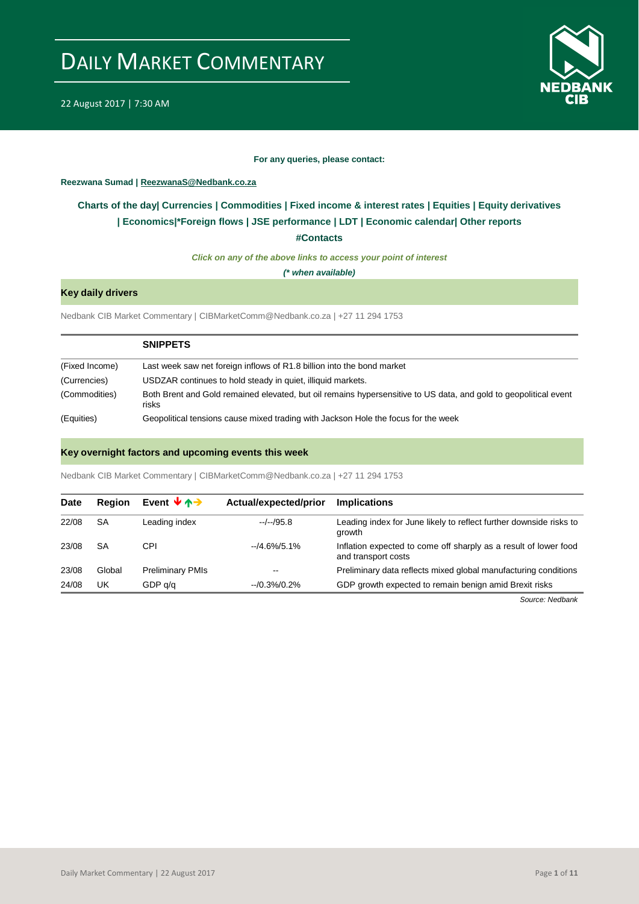

#### **For any queries, please contact:**

### <span id="page-0-0"></span>**Reezwana Sumad | ReezwanaS@Nedbank.co.za**

### **Charts of the day| [Currencies](#page-2-0) [| Commodities](#page-3-0) | [Fixed income & interest rates](#page-1-0) | [Equities](#page-4-0) | Equity derivatives | Economics|[\\*Foreign flows](#page-7-0) [| JSE performance](#page-4-1) | [LDT](#page-5-0) | [Economic calendar|](#page-8-0) Other reports**

**[#Contacts](#page-9-0)**

*Click on any of the above links to access your point of interest*

*(\* when available)*

### **Key daily drivers**

Nedbank CIB Market Commentary | CIBMarketComm@Nedbank.co.za | +27 11 294 1753

|                | <b>SNIPPETS</b>                                                                                                           |
|----------------|---------------------------------------------------------------------------------------------------------------------------|
| (Fixed Income) | Last week saw net foreign inflows of R1.8 billion into the bond market                                                    |
| (Currencies)   | USDZAR continues to hold steady in quiet, illiquid markets.                                                               |
| (Commodities)  | Both Brent and Gold remained elevated, but oil remains hypersensitive to US data, and gold to geopolitical event<br>risks |
| (Equities)     | Geopolitical tensions cause mixed trading with Jackson Hole the focus for the week                                        |

### **Key overnight factors and upcoming events this week**

Nedbank CIB Market Commentary | CIBMarketComm@Nedbank.co.za | +27 11 294 1753

| <b>Date</b> | <b>Region</b> | Event $\forall \land \rightarrow$ | Actual/expected/prior    | <b>Implications</b>                                                                     |
|-------------|---------------|-----------------------------------|--------------------------|-----------------------------------------------------------------------------------------|
| 22/08       | SA            | Leading index                     | $-/-/95.8$               | Leading index for June likely to reflect further downside risks to<br>growth            |
| 23/08       | SA            | CPI                               | $-4.6\%/5.1\%$           | Inflation expected to come off sharply as a result of lower food<br>and transport costs |
| 23/08       | Global        | <b>Preliminary PMIs</b>           | $\overline{\phantom{m}}$ | Preliminary data reflects mixed global manufacturing conditions                         |
| 24/08       | UK            | GDP q/q                           | $-10.3\%/0.2\%$          | GDP growth expected to remain benign amid Brexit risks                                  |

*Source: Nedbank*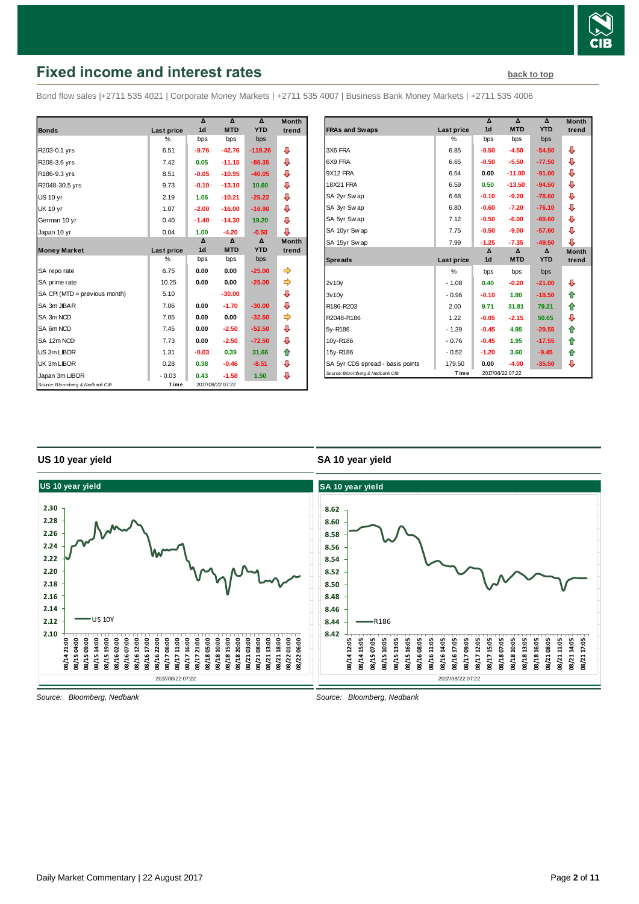

### <span id="page-1-0"></span>**Fixed income and interest rates [back to top](#page-0-0) back to top**

Bond flow sales |+2711 535 4021 | Corporate Money Markets | +2711 535 4007 | Business Bank Money Markets | +2711 535 4006

|                                 |            | Δ              | $\Lambda$        | $\mathbf{v}$ | <b>Month</b> |
|---------------------------------|------------|----------------|------------------|--------------|--------------|
| <b>Bonds</b>                    | Last price | 1 <sub>d</sub> | <b>MTD</b>       | <b>YTD</b>   | trend        |
|                                 | %          | bps            | bps              | bps          |              |
| R203-0.1 yrs                    | 6.51       | $-9.76$        | $-42.76$         | $-119.26$    | ⊕            |
| R208-3.6 yrs                    | 7.42       | 0.05           | $-11.15$         | $-86.35$     | ⊕            |
| R186-9.3 yrs                    | 8.51       | $-0.05$        | $-10.95$         | $-40.05$     | ⊕            |
| R2048-30.5 yrs                  | 9.73       | $-0.10$        | $-13.10$         | 10.60        | ⊕            |
| <b>US 10 yr</b>                 | 2.19       | 1.05           | $-10.21$         | $-25.22$     | ⊕            |
| <b>UK 10 yr</b>                 | 1.07       | $-2.00$        | $-16.00$         | $-16.90$     | ⊕            |
| German 10 yr                    | 0.40       | $-1.40$        | $-14.30$         | 19.20        | ⊕            |
| Japan 10 yr                     | 0.04       | 1.00           | $-4.20$          | $-0.50$      | ⊕            |
|                                 |            | Δ              | Δ                | Δ            | <b>Month</b> |
| <b>Money Market</b>             | Last price | 1 <sub>d</sub> | <b>MTD</b>       | <b>YTD</b>   | trend        |
|                                 | $\%$       | bps            | bps              | bps          |              |
| SA repo rate                    | 6.75       | 0.00           | 0.00             | $-25.00$     |              |
| SA prime rate                   | 10.25      | 0.00           | 0.00             | $-25.00$     | ⇛            |
| SA CPI (MTD = previous month)   | 5.10       |                | $-30.00$         |              | ⊕            |
| SA 3m JIBAR                     | 7.06       | 0.00           | $-1.70$          | $-30.00$     | ⊕            |
| SA 3m NCD                       | 7.05       | 0.00           | 0.00             | $-32.50$     |              |
| SA 6m NCD                       | 7.45       | 0.00           | $-2.50$          | $-52.50$     | ⊕            |
| SA 12m NCD                      | 7.73       | 0.00           | $-2.50$          | $-72.50$     | ⊕            |
| US 3m LIBOR                     | 1.31       | $-0.03$        | 0.39             | 31.66        | ⇑            |
| UK 3m LIBOR                     | 0.28       | 0.38           | $-0.46$          | $-8.51$      | ⊕            |
| Japan 3m LIBOR                  | $-0.03$    | 0.43           | $-1.58$          | 1.50         | ⊕            |
| Source: Bloomberg & Nedbank CIB | Time       |                | 2017/08/22 07:22 |              |              |

|                                  |               | Δ              | Δ                | Δ          | <b>Month</b> |
|----------------------------------|---------------|----------------|------------------|------------|--------------|
| <b>FRAs and Swaps</b>            | Last price    | 1 <sub>d</sub> | <b>MTD</b>       | <b>YTD</b> | trend        |
|                                  | %             | bps            | bps              | bps        |              |
| 3X6 FRA                          | 6.85          | $-0.50$        | $-4.50$          | $-54.50$   | ⊕            |
| 6X9 FRA                          | 6.65          | $-0.50$        | $-5.50$          | $-77.50$   | ⊕            |
| 9X12 FRA                         | 6.54          | 0.00           | $-11.00$         | $-91.00$   | ⊕            |
| <b>18X21 FRA</b>                 | 6.59          | 0.50           | $-13.50$         | $-94.50$   | ⊕            |
| SA 2yr Swap                      | 6.68          | $-0.10$        | $-9.20$          | $-78.60$   | ⊕            |
| SA 3yr Swap                      | 6.80          | $-0.60$        | $-7.20$          | $-76.10$   | ⇩            |
| SA 5yr Swap                      | 7.12          | $-0.50$        | $-6.00$          | $-69.60$   | ⊕            |
| SA 10yr Swap                     | 7.75          | $-0.50$        | $-9.00$          | $-57.60$   | ⊕            |
| SA 15yr Swap                     | 7.99          | $-1.25$        | $-7.35$          | $-49.50$   | ⊕            |
|                                  |               | $\Lambda$      | $\Lambda$        | $\Lambda$  | <b>Month</b> |
| <b>Spreads</b>                   | Last price    | 1 <sub>d</sub> | <b>MTD</b>       | <b>YTD</b> | trend        |
|                                  | $\frac{0}{0}$ | bps            | bps              | bps        |              |
| 2v10v                            | $-1.08$       | 0.40           | $-0.20$          | $-21.00$   | ⊕            |
| 3v10v                            | $-0.96$       | $-0.10$        | 1.80             | $-18.50$   | ⇑            |
| R186-R203                        | 2.00          | 9.71           | 31.81            | 79.21      | 全            |
| R2048-R186                       | 1.22          | $-0.05$        | $-2.15$          | 50.65      | ⇩            |
| 5y-R186                          | $-1.39$       | $-0.45$        | 4.95             | $-29.55$   | ⇑            |
| 10y-R186                         | $-0.76$       | $-0.45$        | 1.95             | $-17.55$   | ⇑            |
| 15y-R186                         | $-0.52$       | $-1.20$        | 3.60             | $-9.45$    | ⇑            |
| SA 5yr CDS spread - basis points | 179.50        | 0.00           | $-4.00$          | $-35.50$   | ⊕            |
| Source: Bloomberg & Nedbank CIB  | Time          |                | 2017/08/22 07:22 |            |              |

### **US 10 year yield**

### **SA 10 year yield**



*Source: Bloomberg, Nedbank*

*Source: Bloomberg, Nedbank*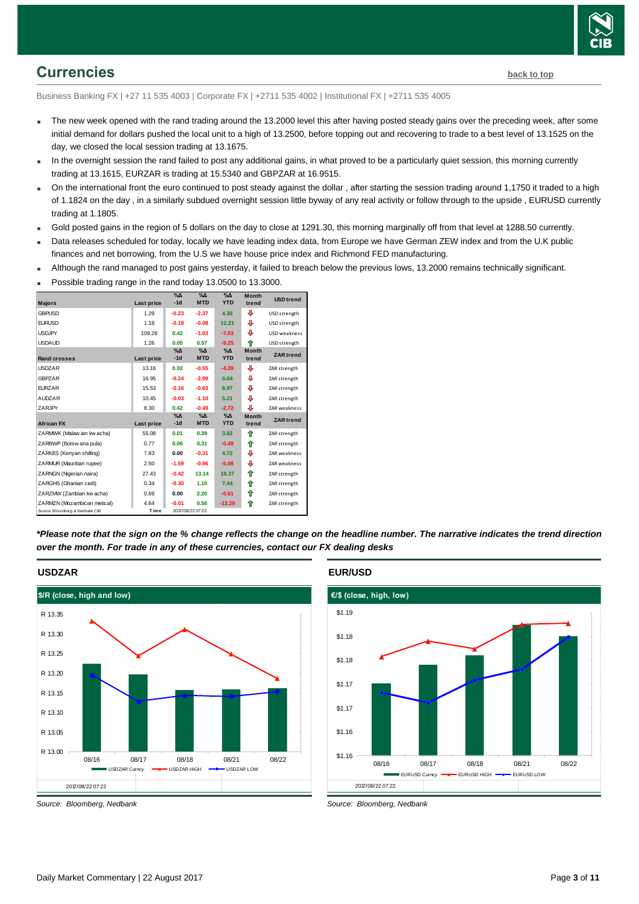

### <span id="page-2-0"></span>**Currencies [back to top](#page-0-0)**

Business Banking FX | +27 11 535 4003 | Corporate FX | +2711 535 4002 | Institutional FX | +2711 535 4005

- The new week opened with the rand trading around the 13.2000 level this after having posted steady gains over the preceding week, after some initial demand for dollars pushed the local unit to a high of 13.2500, before topping out and recovering to trade to a best level of 13.1525 on the day, we closed the local session trading at 13.1675.
- In the overnight session the rand failed to post any additional gains, in what proved to be a particularly quiet session, this morning currently trading at 13.1615, EURZAR is trading at 15.5340 and GBPZAR at 16.9515.
- On the international front the euro continued to post steady against the dollar , after starting the session trading around 1,1750 it traded to a high of 1.1824 on the day , in a similarly subdued overnight session little byway of any real activity or follow through to the upside , EURUSD currently trading at 1.1805.
- Gold posted gains in the region of 5 dollars on the day to close at 1291.30, this morning marginally off from that level at 1288.50 currently.
- Data releases scheduled for today, locally we have leading index data, from Europe we have German ZEW index and from the U.K public finances and net borrowing, from the U.S we have house price index and Richmond FED manufacturing.
- Although the rand managed to post gains yesterday, it failed to breach below the previous lows, 13.2000 remains technically significant.
- Possible trading range in the rand today 13.0500 to 13.3000. **Majors Last price %Δ -1d %Δ MTD %Δ YTD USD trend** GBPUSD 1.29 **-0.23 -2.37 4.36 4** USD strength **Month trend**

| שטח ושט                         | ت ے. ا            | -ט.בט                  | -2.01                       | טט.ד                        |                       | <b>UJU STIEIIKIII</b> |
|---------------------------------|-------------------|------------------------|-----------------------------|-----------------------------|-----------------------|-----------------------|
| <b>EURUSD</b>                   | 1.18              | $-0.19$                | $-0.08$                     | 12.21                       | ⊕                     | USD strength          |
| <b>USDJPY</b>                   | 109.28            | 0.42                   | $-1.03$                     | $-7.03$                     | ⊕                     | USD weakness          |
| <b>USDAUD</b>                   | 1.26              | 0.05                   | 0.57                        | $-9.25$                     | ⇑                     | USD strength          |
| <b>Rand crosses</b>             | <b>Last price</b> | $\%$ $\Delta$<br>$-1d$ | $\%$ $\Delta$<br><b>MTD</b> | $\Delta$<br><b>YTD</b>      | <b>Month</b><br>trend | <b>ZAR</b> trend      |
| <b>USDZAR</b>                   | 13.16             | 0.02                   | $-0.55$                     | $-4.39$                     | ⊕                     | ZAR strength          |
| <b>GBPZAR</b>                   | 16.95             | $-0.24$                | $-2.99$                     | 0.04                        | ⊕                     | ZAR strength          |
| <b>FURZAR</b>                   | 15.53             | $-0.16$                | $-0.63$                     | 6.97                        | ⊕                     | ZAR strength          |
| <b>AUDZAR</b>                   | 10.45             | $-0.03$                | $-1.10$                     | 5.21                        | ⊕                     | ZAR strength          |
| ZARJPY                          | 8.30              | 0.42                   | $-0.49$                     | $-2.72$                     | ⊕                     | ZAR weakness          |
| <b>African FX</b>               | Last price        | $\Delta_0$<br>$-1d$    | $\%$ $\Delta$<br><b>MTD</b> | $\%$ $\Delta$<br><b>YTD</b> | <b>Month</b><br>trend | <b>ZAR</b> trend      |
|                                 |                   |                        |                             |                             |                       |                       |
| ZARMWK (Malaw ian kw acha)      | 55.08             | 0.01                   | 0.39                        | 3.82                        | 合                     | ZAR strength          |
| ZARBWP (Botsw ana pula)         | 0.77              | 0.06                   | 0.31                        | $-0.49$                     | ⇑                     | ZAR strength          |
| ZARKES (Kenyan shilling)        | 7.83              | 0.00                   | $-0.31$                     | 4.72                        | ⊕                     | ZAR weakness          |
| ZARMUR (Mauritian rupee)        | 2.50              | $-1.59$                | $-0.96$                     | $-5.08$                     | ⊕                     | ZAR weakness          |
| ZARNGN (Nigerian naira)         | 27.43             | $-0.42$                | 13.14                       | 16.37                       | ♠                     | ZAR strength          |
| ZARGHS (Ghanian cedi)           | 0.34              | $-0.30$                | 1.10                        | 7.44                        | ⇑                     | ZAR strength          |
| ZARZMW (Zambian kw acha)        | 0.69              | 0.00                   | 2.20                        | $-5.61$                     | ⇑                     | ZAR strength          |
| ZARMZN (Mozambican metical)     | 4.64              | $-0.01$                | 0.56                        | $-12.29$                    | ⇑                     | ZAR strength          |
| Source: Bloomberg & Nedbank CIB | Time              |                        | 2017/08/22 07:22            |                             |                       |                       |

*\*Please note that the sign on the % change reflects the change on the headline number. The narrative indicates the trend direction over the month. For trade in any of these currencies, contact our FX dealing desks*



### **USDZAR**

*Source: Bloomberg, Nedbank*

#### **EUR/USD**



*Source: Bloomberg, Nedbank*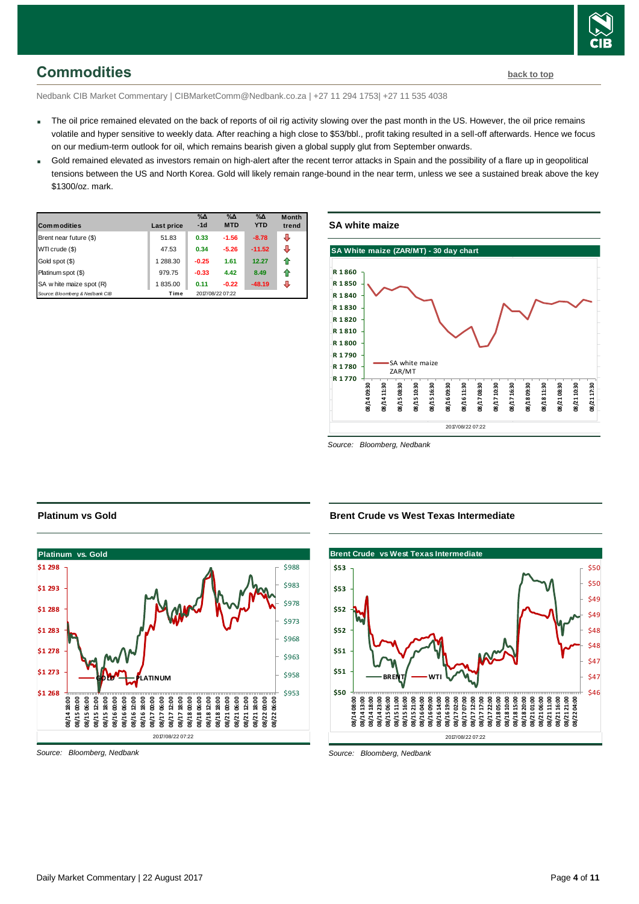

### <span id="page-3-0"></span>**Commodities [back to top](#page-0-0)**

Nedbank CIB Market Commentary | CIBMarketComm@Nedbank.co.za | +27 11 294 1753| +27 11 535 4038

- The oil price remained elevated on the back of reports of oil rig activity slowing over the past month in the US. However, the oil price remains volatile and hyper sensitive to weekly data. After reaching a high close to \$53/bbl., profit taking resulted in a sell-off afterwards. Hence we focus on our medium-term outlook for oil, which remains bearish given a global supply glut from September onwards.
- Gold remained elevated as investors remain on high-alert after the recent terror attacks in Spain and the possibility of a flare up in geopolitical tensions between the US and North Korea. Gold will likely remain range-bound in the near term, unless we see a sustained break above the key \$1300/oz. mark.

| <b>Commodities</b>              | Last price | $\%$ $\Delta$<br>$-1d$ | $\%$ $\Delta$<br><b>MTD</b> | $\%$ $\Delta$<br><b>YTD</b> | <b>Month</b><br>trend |
|---------------------------------|------------|------------------------|-----------------------------|-----------------------------|-----------------------|
| Brent near future (\$)          | 51.83      | 0.33                   | $-1.56$                     | $-8.78$                     | J                     |
| WTI crude (\$)                  | 47.53      | 0.34                   | $-5.26$                     | $-11.52$                    | ⊕                     |
| Gold spot (\$)                  | 1 288.30   | $-0.25$                | 1.61                        | 12.27                       | ⇑                     |
| Platinum spot (\$)              | 979.75     | $-0.33$                | 4.42                        | 8.49                        | ⇑                     |
| SA w hite maize spot (R)        | 1835.00    | 0.11                   | $-0.22$                     | $-48.19$                    | л                     |
| Source: Bloomberg & Nedbank CIB | Time       |                        | 2017/08/22 07:22            |                             |                       |





*Source: Bloomberg, Nedbank*



*Source: Bloomberg, Nedbank*

**Platinum vs Gold**

#### **Brent Crude vs West Texas Intermediate**



*Source: Bloomberg, Nedbank*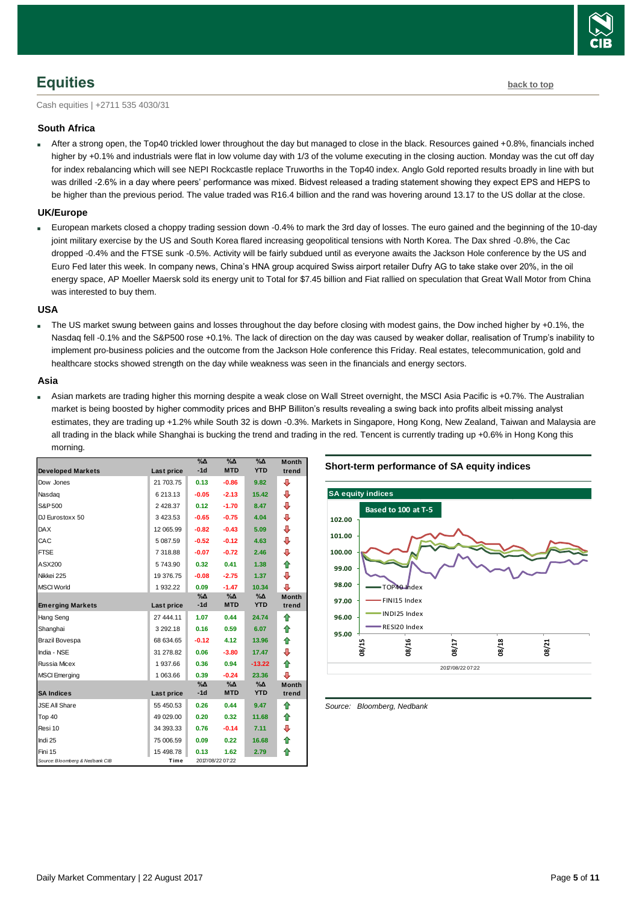

## <span id="page-4-0"></span>**Equities [back to top](#page-0-0)**

Cash equities | +2711 535 4030/31

### **South Africa**

 After a strong open, the Top40 trickled lower throughout the day but managed to close in the black. Resources gained +0.8%, financials inched higher by +0.1% and industrials were flat in low volume day with 1/3 of the volume executing in the closing auction. Monday was the cut off day for index rebalancing which will see NEPI Rockcastle replace Truworths in the Top40 index. Anglo Gold reported results broadly in line with but was drilled -2.6% in a day where peers' performance was mixed. Bidvest released a trading statement showing they expect EPS and HEPS to be higher than the previous period. The value traded was R16.4 billion and the rand was hovering around 13.17 to the US dollar at the close.

### **UK/Europe**

 European markets closed a choppy trading session down -0.4% to mark the 3rd day of losses. The euro gained and the beginning of the 10-day joint military exercise by the US and South Korea flared increasing geopolitical tensions with North Korea. The Dax shred -0.8%, the Cac dropped -0.4% and the FTSE sunk -0.5%. Activity will be fairly subdued until as everyone awaits the Jackson Hole conference by the US and Euro Fed later this week. In company news, China's HNA group acquired Swiss airport retailer Dufry AG to take stake over 20%, in the oil energy space, AP Moeller Maersk sold its energy unit to Total for \$7.45 billion and Fiat rallied on speculation that Great Wall Motor from China was interested to buy them.

#### **USA**

The US market swung between gains and losses throughout the day before closing with modest gains, the Dow inched higher by +0.1%, the Nasdaq fell -0.1% and the S&P500 rose +0.1%. The lack of direction on the day was caused by weaker dollar, realisation of Trump's inability to implement pro-business policies and the outcome from the Jackson Hole conference this Friday. Real estates, telecommunication, gold and healthcare stocks showed strength on the day while weakness was seen in the financials and energy sectors.

#### **Asia**

 Asian markets are trading higher this morning despite a weak close on Wall Street overnight, the MSCI Asia Pacific is +0.7%. The Australian market is being boosted by higher commodity prices and BHP Billiton's results revealing a swing back into profits albeit missing analyst estimates, they are trading up +1.2% while South 32 is down -0.3%. Markets in Singapore, Hong Kong, New Zealand, Taiwan and Malaysia are all trading in the black while Shanghai is bucking the trend and trading in the red. Tencent is currently trading up +0.6% in Hong Kong this morning.

|                                 |            | %Δ            | $\%$ $\Delta$    | $\%$ $\Delta$<br><b>YTD</b> | <b>Month</b> |
|---------------------------------|------------|---------------|------------------|-----------------------------|--------------|
| <b>Developed Markets</b>        | Last price | $-1d$         | <b>MTD</b>       |                             | trend        |
| Dow Jones                       | 21 703.75  | 0.13          | $-0.86$          | 9.82                        | ⊕            |
| Nasdag                          | 6 213.13   | $-0.05$       | $-2.13$          | 15.42                       | ⊕            |
| S&P 500                         | 2 4 28.37  | 0.12          | $-1.70$          | 8.47                        | ⊕            |
| DJ Eurostoxx 50                 | 3423.53    | $-0.65$       | $-0.75$          | 4.04                        | ⊕            |
| <b>DAX</b>                      | 12 065.99  | $-0.82$       | $-0.43$          | 5.09                        | ⊕            |
| CAC                             | 5 087.59   | $-0.52$       | $-0.12$          | 4.63                        | ⊕            |
| <b>FTSE</b>                     | 7 318.88   | $-0.07$       | $-0.72$          | 2.46                        | ⊕            |
| ASX200                          | 5743.90    | 0.32          | 0.41             | 1.38                        | ♠            |
| Nikkei 225                      | 19 376.75  | $-0.08$       | $-2.75$          | 1.37                        | ⊕            |
| <b>MSCI World</b>               | 1932.22    | 0.09          | $-1.47$          | 10.34                       | л            |
|                                 |            | $\%$ $\Delta$ | $\%$ $\Delta$    | $\%$ $\Delta$               | <b>Month</b> |
| <b>Emerging Markets</b>         | Last price | $-1d$         | <b>MTD</b>       | <b>YTD</b>                  | trend        |
| Hang Seng                       | 27 444.11  | 1.07          | 0.44             | 24.74                       | ⇑            |
| Shanghai                        | 3 292.18   | 0.16          | 0.59             | 6.07                        | ⇑            |
| Brazil Bovespa                  | 68 634.65  | $-0.12$       | 4.12             | 13.96                       | ⇮            |
| India - NSE                     | 31 278.82  | 0.06          | $-3.80$          | 17.47                       | ⇩            |
| <b>Russia Micex</b>             | 1937.66    | 0.36          | 0.94             | $-13.22$                    | ♠            |
| <b>MSCI</b> Emerging            | 1 063.66   | 0.39          | $-0.24$          | 23.36                       | ⊕            |
|                                 |            | $\%$ $\Delta$ | %∆               | %Δ                          | <b>Month</b> |
| <b>SA Indices</b>               | Last price | $-1d$         | <b>MTD</b>       | <b>YTD</b>                  | trend        |
| <b>JSE All Share</b>            | 55 450.53  | 0.26          | 0.44             | 9.47                        | ⇑            |
| Top 40                          | 49 029.00  | 0.20          | 0.32             | 11.68                       | ⇮            |
| Resi 10                         | 34 393.33  | 0.76          | $-0.14$          | 7.11                        | ⊕            |
| Indi 25                         | 75 006.59  | 0.09          | 0.22             | 16.68                       | 合            |
| Fini 15                         | 15 498.78  | 0.13          | 1.62             | 2.79                        | ⇑            |
| Source: Bloomberg & Nedbank CIB | Time       |               | 2017/08/22 07:22 |                             |              |





<span id="page-4-1"></span>*Source: Bloomberg, Nedbank*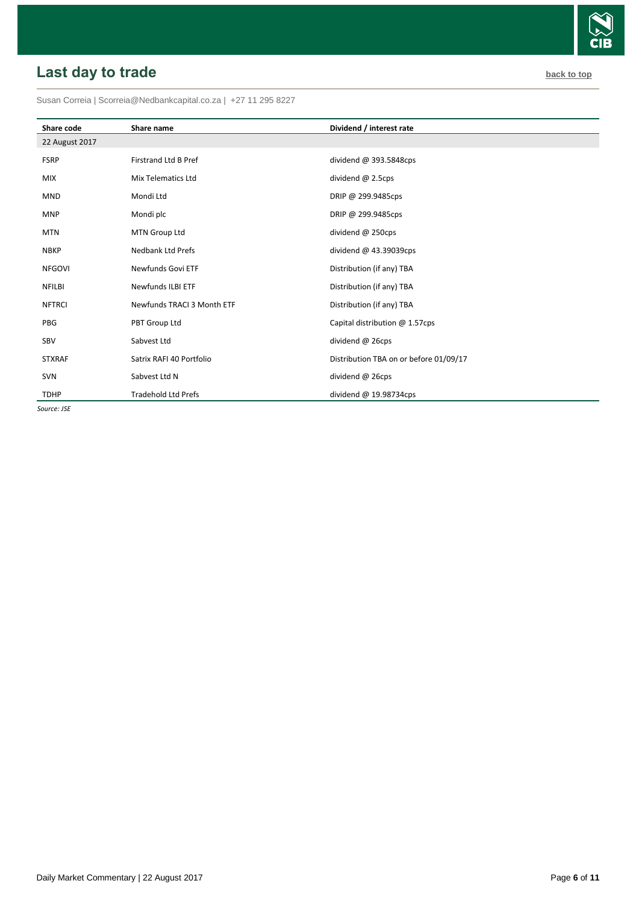# <span id="page-5-0"></span>**Last day to trade back to the contract of the contract of the contract of the contract of the contract of the contract of the contract of the contract of the contract of the contract of the contract of the contract of t**

Susan Correia [| Scorreia@Nedbankcapital.co.za](mailto:Scorreia@Nedbankcapital.co.za) | +27 11 295 8227

| Share code     | Share name                  | Dividend / interest rate               |
|----------------|-----------------------------|----------------------------------------|
| 22 August 2017 |                             |                                        |
| <b>FSRP</b>    | <b>Firstrand Ltd B Pref</b> | dividend $@393.5848cps$                |
| <b>MIX</b>     | Mix Telematics Ltd          | dividend $@$ 2.5cps                    |
| <b>MND</b>     | Mondi Ltd                   | DRIP @ 299.9485cps                     |
| <b>MNP</b>     | Mondi plc                   | DRIP @ 299.9485cps                     |
| <b>MTN</b>     | MTN Group Ltd               | dividend @ 250cps                      |
| <b>NBKP</b>    | <b>Nedbank Ltd Prefs</b>    | dividend @ 43.39039cps                 |
| <b>NFGOVI</b>  | Newfunds Govi ETF           | Distribution (if any) TBA              |
| <b>NFILBI</b>  | Newfunds ILBI ETF           | Distribution (if any) TBA              |
| <b>NFTRCI</b>  | Newfunds TRACI 3 Month ETF  | Distribution (if any) TBA              |
| PBG            | PBT Group Ltd               | Capital distribution @ 1.57cps         |
| SBV            | Sabvest Ltd                 | dividend @ 26cps                       |
| <b>STXRAF</b>  | Satrix RAFI 40 Portfolio    | Distribution TBA on or before 01/09/17 |
| <b>SVN</b>     | Sabvest Ltd N               | dividend @ 26cps                       |
| <b>TDHP</b>    | <b>Tradehold Ltd Prefs</b>  | dividend @ 19.98734cps                 |

*Source: JSE*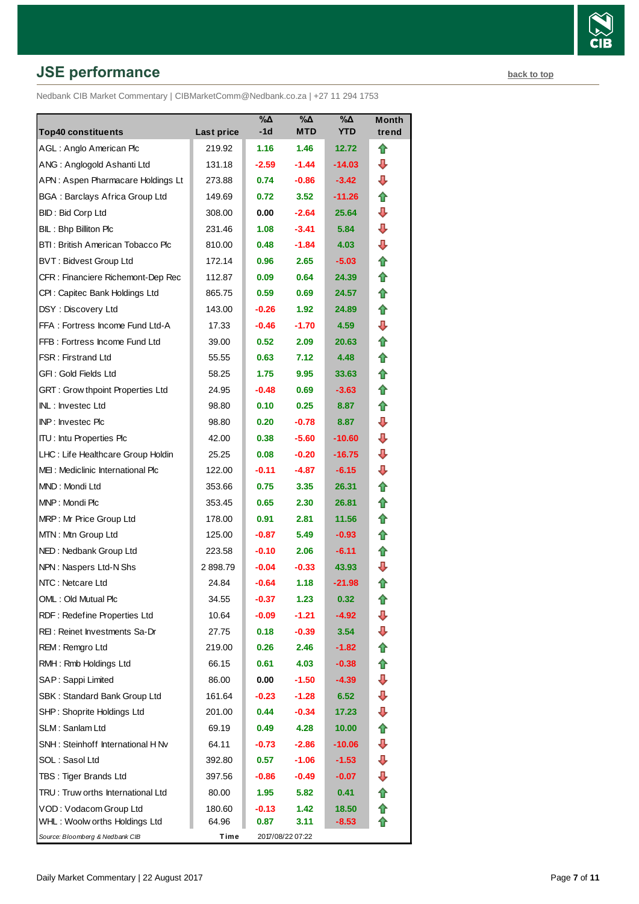# **JSE performance [back to top](#page-0-0) back to top**

Nedbank CIB Market Commentary | CIBMarketComm@Nedbank.co.za | +27 11 294 1753

| <b>Top40 constituents</b>               | Last price | %Δ<br>-1d         | %Δ<br>MTD        | %Δ<br><b>YTD</b>  | <b>Month</b><br>trend |
|-----------------------------------------|------------|-------------------|------------------|-------------------|-----------------------|
| AGL: Anglo American Plc                 | 219.92     | 1.16              | 1.46             | 12.72             | ⇑                     |
| ANG: Anglogold Ashanti Ltd              | 131.18     | $-2.59$           | $-1.44$          | -14.03            | ⊕                     |
| APN: Aspen Pharmacare Holdings Lt       | 273.88     | 0.74              | $-0.86$          | $-3.42$           | ⊕                     |
| <b>BGA: Barclays Africa Group Ltd</b>   | 149.69     | 0.72              | 3.52             | $-11.26$          | ⇑                     |
| BID: Bid Corp Ltd                       | 308.00     | 0.00              | $-2.64$          | 25.64             | ⊕                     |
| BIL: Bhp Billiton Plc                   | 231.46     | 1.08              | $-3.41$          | 5.84              | ⇩                     |
| BTI: British American Tobacco Plc       | 810.00     | 0.48              | $-1.84$          | 4.03              | ⊕                     |
| <b>BVT: Bidvest Group Ltd</b>           | 172.14     | 0.96              | 2.65             | $-5.03$           | ⇑                     |
| CFR: Financiere Richemont-Dep Rec       | 112.87     | 0.09              | 0.64             | 24.39             | ⇑                     |
| CPI : Capitec Bank Holdings Ltd         | 865.75     | 0.59              | 0.69             | 24.57             | ⇑                     |
| DSY: Discovery Ltd                      | 143.00     | -0.26             | 1.92             | 24.89             | ⇑                     |
| FFA: Fortress Income Fund Ltd-A         | 17.33      | $-0.46$           | $-1.70$          | 4.59              | ⊕                     |
| FFB: Fortress Income Fund Ltd           | 39.00      | 0.52 <sub>1</sub> | 2.09             | 20.63             | ⇑                     |
| <b>FSR: Firstrand Ltd</b>               | 55.55      | 0.63              | 7.12             | 4.48              | ⇑                     |
| GFI: Gold Fields Ltd                    | 58.25      | 1.75              | 9.95             | 33.63             | n                     |
| <b>GRT: Grow thpoint Properties Ltd</b> | 24.95      | -0.48             | 0.69             | $-3.63$           | ⇑                     |
| <b>INL: Investec Ltd</b>                | 98.80      | 0.10              | 0.25             | 8.87              | ⇑                     |
| <b>INP: Investec Plc</b>                | 98.80      | 0.20              | $-0.78$          | 8.87              | ⊕                     |
| <b>ITU:</b> Intu Properties Plc         | 42.00      | 0.38              | $-5.60$          | -10.60            | ⊕                     |
| LHC: Life Healthcare Group Holdin       | 25.25      | 0.08              | $-0.20$          | $-16.75$          | ⊕                     |
| MEI: Mediclinic International Plc       | 122.00     | $-0.11$           | $-4.87$          | $-6.15$           | ⊕                     |
| MND: Mondi Ltd                          | 353.66     | 0.75              | 3.35             | 26.31             | ⇑                     |
| MNP: Mondi Plc                          | 353.45     | 0.65              | 2.30             | 26.81             | n                     |
| MRP: Mr Price Group Ltd                 | 178.00     | 0.91              | 2.81             | 11.56             | ⇑                     |
| MTN: Mtn Group Ltd                      | 125.00     | $-0.87$           | 5.49             | $-0.93$           | ⇑                     |
| NED: Nedbank Group Ltd                  | 223.58     | $-0.10$           | 2.06             | $-6.11$           | ⇑                     |
| NPN: Naspers Ltd-N Shs                  | 2898.79    | $-0.04$           | $-0.33$          | 43.93             | ⊕                     |
| NTC: Netcare Ltd                        | 24.84      | $-0.64$           | 1.18             | $-21.98$          | ⇮                     |
| OML: Old Mutual Plc                     | 34.55      | -0.37             | 1.23             | 0.32 <sub>1</sub> | t                     |
| RDF: Redefine Properties Ltd            | 10.64      | $-0.09$           | $-1.21$          | -4.92             | ⇩                     |
| REI: Reinet Investments Sa-Dr           | 27.75      | 0.18              | $-0.39$          | 3.54              | ⇩                     |
| REM: Remgro Ltd                         | 219.00     | 0.26              | 2.46             | $-1.82$           | ⇮                     |
| RMH: Rmb Holdings Ltd                   | 66.15      | 0.61              | 4.03             | $-0.38$           | ⇑                     |
| SAP: Sappi Limited                      | 86.00      | 0.00              | $-1.50$          | $-4.39$           | ⇩                     |
| SBK: Standard Bank Group Ltd            | 161.64     | $-0.23$           | $-1.28$          | 6.52              | ⇩                     |
| SHP: Shoprite Holdings Ltd              | 201.00     | 0.44              | $-0.34$          | 17.23             | ⇩                     |
| SLM: Sanlam Ltd                         | 69.19      | 0.49              | 4.28             | 10.00             | ⇑                     |
| SNH: Steinhoff International H Nv       | 64.11      | $-0.73$           | $-2.86$          | $-10.06$          | ⇩                     |
| SOL: Sasol Ltd                          | 392.80     | 0.57              | $-1.06$          | $-1.53$           | ⇩                     |
| TBS: Tiger Brands Ltd                   | 397.56     | $-0.86$           | $-0.49$          | $-0.07$           | ⇩                     |
| TRU: Truw orths International Ltd       | 80.00      | 1.95              | 5.82             | 0.41              |                       |
| VOD: Vodacom Group Ltd                  | 180.60     | $-0.13$           | 1.42             | 18.50             | ⇑                     |
| WHL: Woolw orths Holdings Ltd           | 64.96      | 0.87              | 3.11             | $-8.53$           |                       |
| Source: Bloomberg & Nedbank CIB         | Time       |                   | 2017/08/22 07:22 |                   |                       |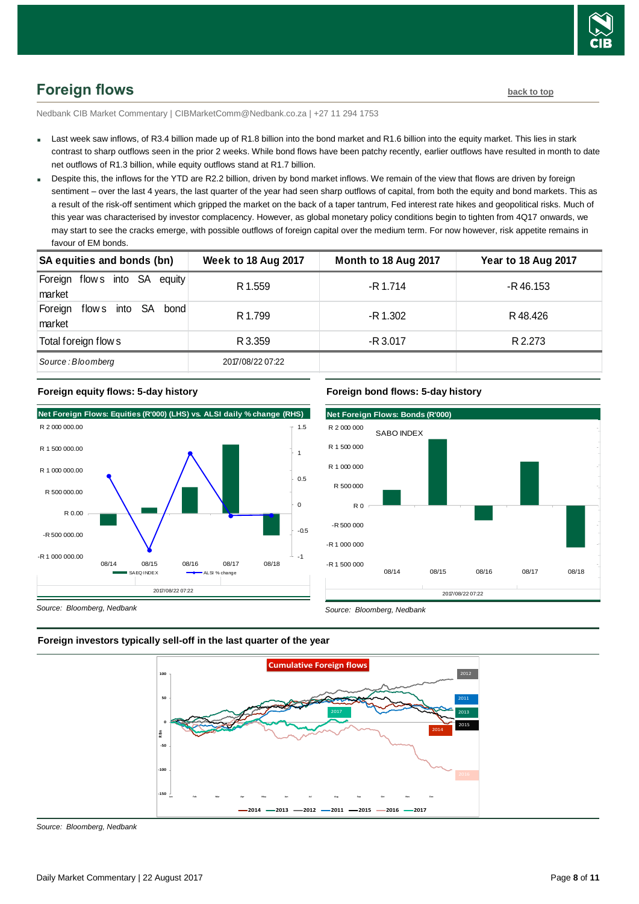

## <span id="page-7-0"></span>**Foreign flows [back to top](#page-0-0)**

Nedbank CIB Market Commentary | CIBMarketComm@Nedbank.co.za | +27 11 294 1753

- Last week saw inflows, of R3.4 billion made up of R1.8 billion into the bond market and R1.6 billion into the equity market. This lies in stark contrast to sharp outflows seen in the prior 2 weeks. While bond flows have been patchy recently, earlier outflows have resulted in month to date net outflows of R1.3 billion, while equity outflows stand at R1.7 billion.
- Despite this, the inflows for the YTD are R2.2 billion, driven by bond market inflows. We remain of the view that flows are driven by foreign sentiment – over the last 4 years, the last quarter of the year had seen sharp outflows of capital, from both the equity and bond markets. This as a result of the risk-off sentiment which gripped the market on the back of a taper tantrum, Fed interest rate hikes and geopolitical risks. Much of this year was characterised by investor complacency. However, as global monetary policy conditions begin to tighten from 4Q17 onwards, we may start to see the cracks emerge, with possible outflows of foreign capital over the medium term. For now however, risk appetite remains in favour of EM bonds.

| may start to see the cracks emerge, with possible outhows or foreign capital over the medium term. For now nowever, nsk appetite remains in<br>favour of EM bonds. |                            |                      |                            |  |  |  |  |
|--------------------------------------------------------------------------------------------------------------------------------------------------------------------|----------------------------|----------------------|----------------------------|--|--|--|--|
| SA equities and bonds (bn)                                                                                                                                         | <b>Week to 18 Aug 2017</b> | Month to 18 Aug 2017 | <b>Year to 18 Aug 2017</b> |  |  |  |  |
| Foreign flows into SA equity<br>market                                                                                                                             | R 1.559                    | $-R$ 1.714           | $-R$ 46.153                |  |  |  |  |
| flows into SA<br>Foreign<br>bond<br>market                                                                                                                         | R 1.799                    | -R 1.302             | R 48.426                   |  |  |  |  |
| Total foreign flow s                                                                                                                                               | R 3.359                    | $-R$ 3.017           | R 2.273                    |  |  |  |  |
| Source: Bloomberg                                                                                                                                                  | 2017/08/22 07:22           |                      |                            |  |  |  |  |



### **Foreign equity flows: 5-day history**



*Source: Bloomberg, Nedbank*



2017/08/22 07:22

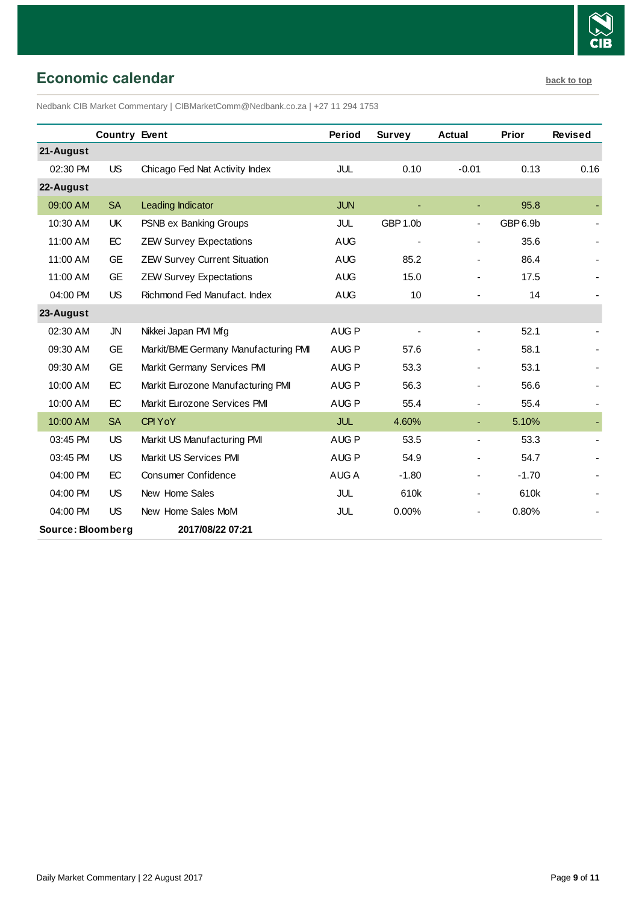

### <span id="page-8-0"></span>**Economic calendar [back to top](#page-0-0)**

Nedbank CIB Market Commentary | CIBMarketComm@Nedbank.co.za | +27 11 294 1753

|                   | <b>Country Event</b> |                                      | Period           | <b>Survey</b>  | <b>Actual</b>            | <b>Prior</b> | <b>Revised</b> |
|-------------------|----------------------|--------------------------------------|------------------|----------------|--------------------------|--------------|----------------|
| 21-August         |                      |                                      |                  |                |                          |              |                |
| 02:30 PM          | <b>US</b>            | Chicago Fed Nat Activity Index       | JUL              | 0.10           | $-0.01$                  | 0.13         | 0.16           |
| 22-August         |                      |                                      |                  |                |                          |              |                |
| 09:00 AM          | <b>SA</b>            | Leading Indicator                    | <b>JUN</b>       |                |                          | 95.8         |                |
| 10:30 AM          | UK                   | PSNB ex Banking Groups               | JUL              | GBP 1.0b       | $\blacksquare$           | GBP 6.9b     |                |
| 11:00 AM          | EC                   | <b>ZEW Survey Expectations</b>       | <b>AUG</b>       |                |                          | 35.6         |                |
| 11:00 AM          | <b>GE</b>            | <b>ZEW Survey Current Situation</b>  | <b>AUG</b>       | 85.2           | $\blacksquare$           | 86.4         |                |
| 11:00 AM          | <b>GE</b>            | <b>ZEW Survey Expectations</b>       | <b>AUG</b>       | 15.0           | $\blacksquare$           | 17.5         |                |
| 04:00 PM          | <b>US</b>            | Richmond Fed Manufact, Index         | <b>AUG</b>       | 10             |                          | 14           |                |
| 23-August         |                      |                                      |                  |                |                          |              |                |
| 02:30 AM          | <b>JN</b>            | Nikkei Japan PMI Mfg                 | AUG <sub>P</sub> | $\blacksquare$ | $\blacksquare$           | 52.1         |                |
| 09:30 AM          | <b>GE</b>            | Markit/BME Germany Manufacturing PMI | AUG <sub>P</sub> | 57.6           |                          | 58.1         |                |
| 09:30 AM          | <b>GE</b>            | Markit Germany Services PMI          | AUG <sub>P</sub> | 53.3           |                          | 53.1         |                |
| 10:00 AM          | EC                   | Markit Eurozone Manufacturing PMI    | AUG <sub>P</sub> | 56.3           |                          | 56.6         |                |
| 10:00 AM          | EC                   | Markit Eurozone Services PMI         | AUG <sub>P</sub> | 55.4           | $\blacksquare$           | 55.4         |                |
| 10:00 AM          | <b>SA</b>            | <b>CPI YoY</b>                       | JUL              | 4.60%          | ٠                        | 5.10%        |                |
| 03:45 PM          | <b>US</b>            | Markit US Manufacturing PMI          | AUG <sub>P</sub> | 53.5           | $\blacksquare$           | 53.3         |                |
| 03:45 PM          | <b>US</b>            | Markit US Services PMI               | AUG <sub>P</sub> | 54.9           |                          | 54.7         |                |
| 04:00 PM          | EC                   | <b>Consumer Confidence</b>           | AUG A            | $-1.80$        |                          | $-1.70$      |                |
| 04:00 PM          | US.                  | New Home Sales                       | JUL              | 610k           | $\blacksquare$           | 610k         |                |
| 04:00 PM          | <b>US</b>            | New Home Sales MoM                   | <b>JUL</b>       | 0.00%          | $\overline{\phantom{0}}$ | 0.80%        |                |
| Source: Bloomberg |                      | 2017/08/22 07:21                     |                  |                |                          |              |                |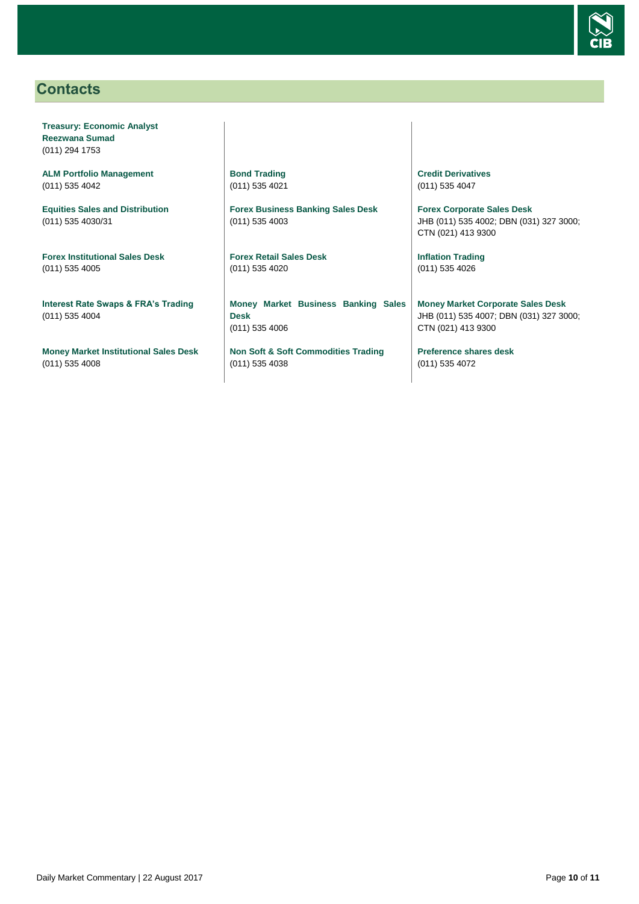

### <span id="page-9-0"></span>**Contacts**

**Treasury: Economic Analyst Reezwana Sumad** (011) 294 1753

**ALM Portfolio Management** (011) 535 4042

**Equities Sales and Distribution** (011) 535 4030/31

**Forex Institutional Sales Desk** (011) 535 4005

**Interest Rate Swaps & FRA's Trading** (011) 535 4004

**Money Market Institutional Sales Desk** (011) 535 4008

**Bond Trading** (011) 535 4021

**Forex Business Banking Sales Desk** (011) 535 4003

**Forex Retail Sales Desk** (011) 535 4020

**Money Market Business Banking Sales Desk** (011) 535 4006

**Non Soft & Soft Commodities Trading** (011) 535 4038

**Credit Derivatives**  (011) 535 4047

**Forex Corporate Sales Desk** JHB (011) 535 4002; DBN (031) 327 3000; CTN (021) 413 9300

**Inflation Trading** (011) 535 4026

**Money Market Corporate Sales Desk** JHB (011) 535 4007; DBN (031) 327 3000; CTN (021) 413 9300

**Preference shares desk** (011) 535 4072